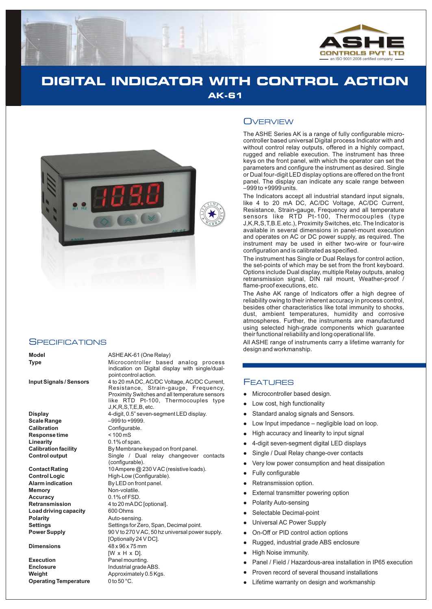

# **DIGITAL INDICATOR WITH CONTROL ACTION AK-61**



#### **SPECIFICATIONS**

**Display** 4-digit, 0.5" seven-segment LED display. **Scale Range** –999 to +9999. **Calibration**<br> **Response time**<br>  $<$  100 mS **Response time Linearity** 0.1% of span.<br> **Calibration facility** By Membrane

**Memory** Non-volatile. **Accuracy** 0.1% of FSD. **Load driving capacity** 600 Ohms<br> **Polarity** Auto-sens

**Execution** Panel mounting. **Enclosure** Industrial grade ABS. **Weight Approximately 0.5 Kgs.**<br>**Operating Temperature** 0 to 50 °C. **Operating Temperature** 

#### **Model** ASHE AK-61 (One Relay)

**Type** Microcontroller based analog process indication on Digital display with single/dualpoint control action.

**Input Signals / Sensors** 4 to 20 mA DC, AC/DC Voltage, AC/DC Current, Resistance, Strain-gauge, Frequency, Proximity Switches and all temperature sensors like RTD Pt-100, Thermocouples type J,K,R,S,T,E,B, etc.

By Membrane keypad on front panel. **Control output** Single / Dual relay changeover contacts (configurable). **Contact Rating** 10 Ampere @ 230 V AC (resistive loads). **Control Logic High-Low (Configurable).**<br>**Alarm indication By LED** on front panel. **By LED on front panel. Retransmission** 4 to 20 mADC [optional]. **Polarity** Auto-sensing. **Settings** Settings for Zero, Span, Decimal point.<br> **Power Supply** Settings OV to 270 V AC, 50 hz universal power **Power Supply** 90 V to 270 V AC, 50 hz universal power supply. [Optionally 24 V DC]. **Dimensions** 48 x 96 x 75 mm  $IW \times H \times DI$ .

### **OVERVIEW**

The ASHE Series AK is a range of fully configurable microcontroller based universal Digital process Indicator with and without control relay outputs, offered in a highly compact, rugged and reliable execution. The instrument has three keys on the front panel, with which the operator can set the parameters and configure the instrument as desired. Single or Dual four-digit LED display options are offered on the front panel. The display can indicate any scale range between –999 to +9999 units.

The Indicators accept all industrial standard input signals, like 4 to 20 mA DC, AC/DC Voltage, AC/DC Current, Resistance, Strain-gauge, Frequency and all temperature sensors like RTD Pt-100, Thermocouples (type J,K,R,S,T,B.E.etc.), Proximity Switches, etc. The Indicator is available in several dimensions in panel-mount execution and operates on AC or DC power supply, as required. The instrument may be used in either two-wire or four-wire configuration and is calibrated as specified.

The instrument has Single or Dual Relays for control action, the set-points of which may be set from the front keyboard. Options include Dual display, multiple Relay outputs, analog retransmission signal, DIN rail mount, Weather-proof / flame-proof executions, etc.

The Ashe AK range of Indicators offer a high degree of reliability owing to their inherent accuracy in process control, besides other characteristics like total immunity to shocks, dust, ambient temperatures, humidity and corrosive atmospheres. Further, the instruments are manufactured using selected high-grade components which guarantee their functional reliability and long operational life.

All ASHE range of instruments carry a lifetime warranty for design and workmanship.

### FEATURES

- Microcontroller based design.
- llllow<br>
llow High<br>
llow High<br>
llow High<br>
llow High<br>
llow Exte<br>
llow Sele<br>
llow Dn-C<br>
Rug<br>
llow High<br>
Pan<br>
ligh<br>
Pan<br>
ligh<br>
ligh<br>
Pan<br>
ligh<br>
Pan<br>
ligh<br>
Pan<br>
ligh<br>
Pan<br>
ligh<br>
Pan Low cost, high functionality
- Standard analog signals and Sensors.
- Low Input impedance negligible load on loop.
- High accuracy and linearity to input signal
- 4-digit seven-segment digital LED displays
- Single / Dual Relay change-over contacts
- Very low power consumption and heat dissipation
- Fully configurable
- Retransmission option.
- External transmitter powering option
- Polarity Auto-sensing
- Selectable Decimal-point
- Universal AC Power Supply
- On-Off or PID control action options
- Rugged, industrial grade ABS enclosure
- High Noise immunity.
- Panel / Field / Hazardous-area installation in IP65 execution
- Proven record of several thousand installations
- Lifetime warranty on design and workmanship